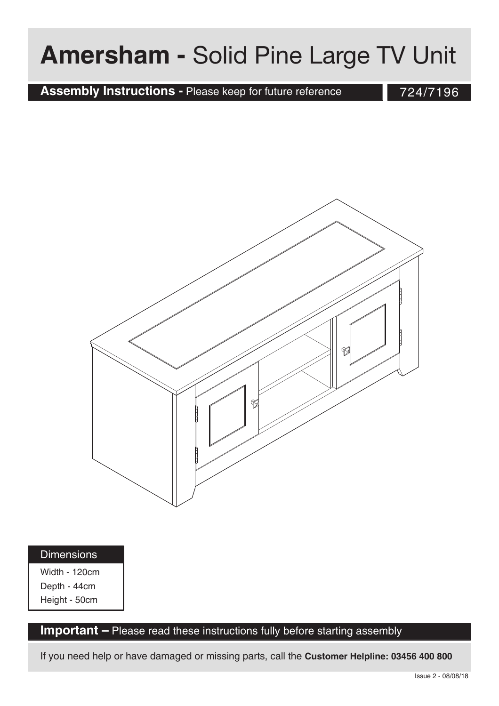## **Amersham -** Solid Pine Large TV Unit

**Assembly Instructions -** Please keep for future reference

724/7196



| <b>Dimensions</b> |  |
|-------------------|--|
|                   |  |

Width - 120cm Depth - 44cm Height - 50cm

#### **Important –** Please read these instructions fully before starting assembly

If you need help or have damaged or missing parts, call the **Customer Helpline: 03456 400 800**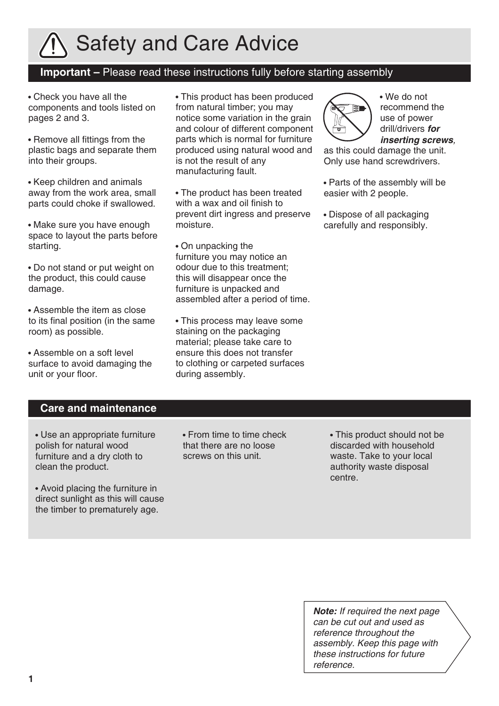

#### **Important –** Please read these instructions fully before starting assembly

- Check you have all the components and tools listed on pages 2 and 3.
- Remove all fittings from the plastic bags and separate them into their groups.
- Keep children and animals away from the work area, small parts could choke if swallowed.
- Make sure you have enough space to layout the parts before starting.
- Do not stand or put weight on the product, this could cause damage.
- Assemble the item as close to its final position (in the same room) as possible.
- Assemble on a soft level surface to avoid damaging the unit or your floor.

This product has been produced from natural timber; you may notice some variation in the grain and colour of different component parts which is normal for furniture produced using natural wood and is not the result of any manufacturing fault.

The product has been treated with a wax and oil finish to prevent dirt ingress and preserve moisture.

• On unpacking the furniture you may notice an odour due to this treatment; this will disappear once the furniture is unpacked and assembled after a period of time.

This process may leave some staining on the packaging material; please take care to ensure this does not transfer to clothing or carpeted surfaces during assembly.



We do not recommend the use of power drill/drivers *for inserting screws,*

as this could damage the unit. Only use hand screwdrivers.

- Parts of the assembly will be easier with 2 people.
- Dispose of all packaging carefully and responsibly.

#### **Care and maintenance**

- Use an appropriate furniture polish for natural wood furniture and a dry cloth to clean the product.
- Avoid placing the furniture in direct sunlight as this will cause the timber to prematurely age.
- From time to time check that there are no loose screws on this unit.
- This product should not be discarded with household waste. Take to your local authority waste disposal centre.

*Note: If required the next page can be cut out and used as reference throughout the assembly. Keep this page with these instructions for future reference.*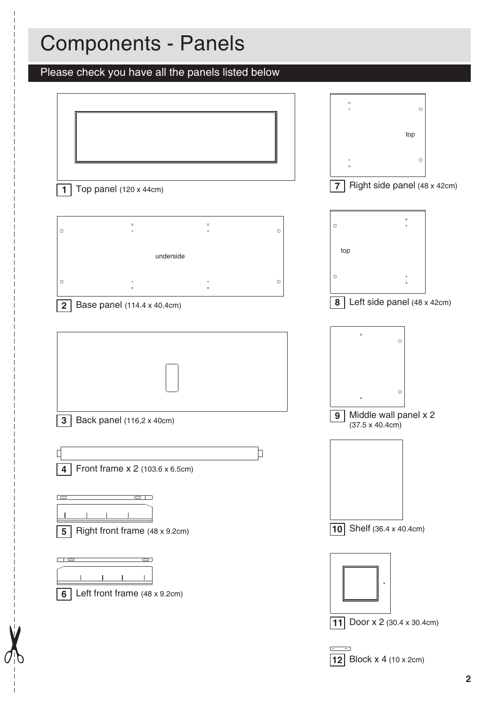## Components - Panels

#### Please check you have all the panels listed below

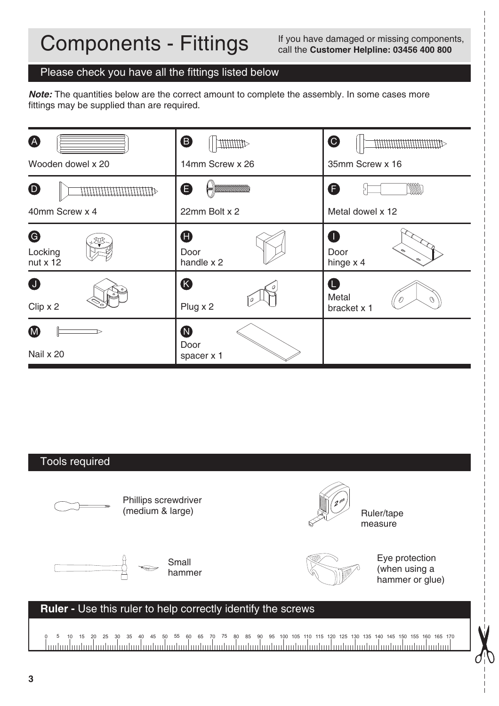## Components - Fittings If you have damaged or missing components,

call the **Customer Helpline: 03456 400 800**

#### Please check you have all the fittings listed below

**Note:** The quantities below are the correct amount to complete the assembly. In some cases more fittings may be supplied than are required.

![](_page_3_Figure_4.jpeg)

#### Tools required

![](_page_3_Figure_6.jpeg)

0 5 10 15 20 25 30 35 40 45 50 55 60 65 70 75 80 85 90 95 100 105 110 115 120 125 130 135 140 145 150 155 160 165 170 <u>luutuuluutuuluutuuluutuuluutuuluutuuluutuuluutuuluutuuluutuuluutuuluutuuluutuuluutuuluutuuluutuuluutuul</u>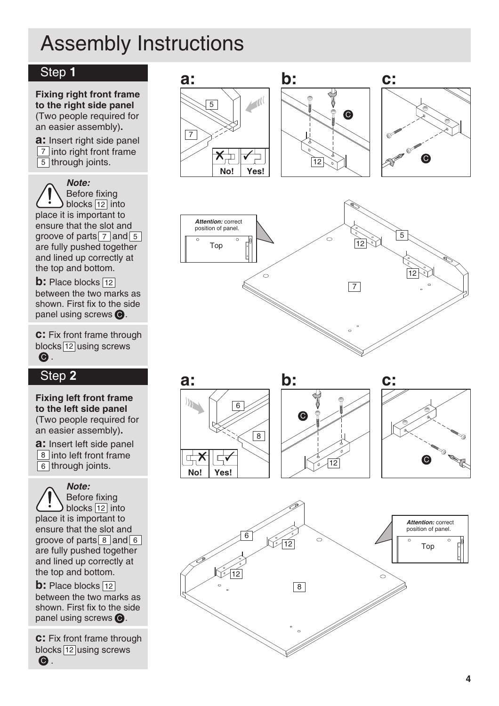### Step **1**

**Fixing right front frame to the right side panel** (Two people required for an easier assembly)**.**

**a:** Insert right side panel 7 into right front frame 5 through joints.

*Note:* Before fixing blocks <u>[12</u>] into place it is important to ensure that the slot and groove of parts  $|7|$  and  $|5|$ are fully pushed together and lined up correctly at the top and bottom.

**b:** Place blocks 12 between the two marks as shown. First fix to the side panel using screws  $\bigcirc$ .

**c:** Fix front frame through blocks $\left\lfloor \frac{12}{2} \right\rfloor$ using screws **g** .

#### Step **2**

**Fixing left front frame to the left side panel** (Two people required for an easier assembly)**.**

**a:** Insert left side panel 8 into left front frame 6 through joints.

![](_page_4_Picture_10.jpeg)

Before fixing blocks 12 into place it is important to ensure that the slot and groove of parts  $\boxed{8}$  and  $\boxed{6}$ are fully pushed together and lined up correctly at the top and bottom.

**b:** Place blocks 12 between the two marks as shown. First fix to the side panel using screws  $\bigcirc$ .

**c:** Fix front frame through blocks $\left\lfloor \text{12}\right\rfloor$ using screws **g** .

![](_page_4_Figure_14.jpeg)

![](_page_4_Figure_15.jpeg)

![](_page_4_Figure_16.jpeg)

![](_page_4_Figure_17.jpeg)

![](_page_4_Figure_18.jpeg)

12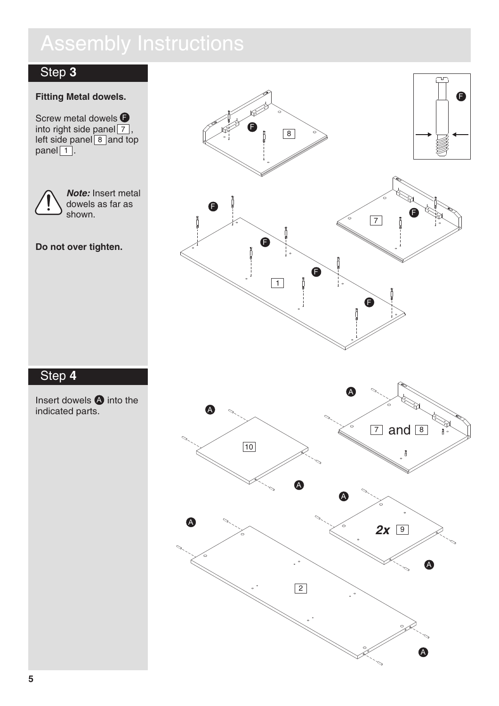### Step **3**

Screw metal dowels  $\blacksquare$ into right side panel  $|7|$ , left side panel  $\boxed{8}$  and top  $panel 1$ . 7 8

![](_page_5_Picture_4.jpeg)

*Note:* Insert metal dowels as far as shown.

#### **Do not over tighten.**

![](_page_5_Figure_7.jpeg)

![](_page_5_Figure_8.jpeg)

 $\sim$ 

### Step **4**

Insert dowels  $\triangle$  into the indicated parts.

![](_page_5_Figure_11.jpeg)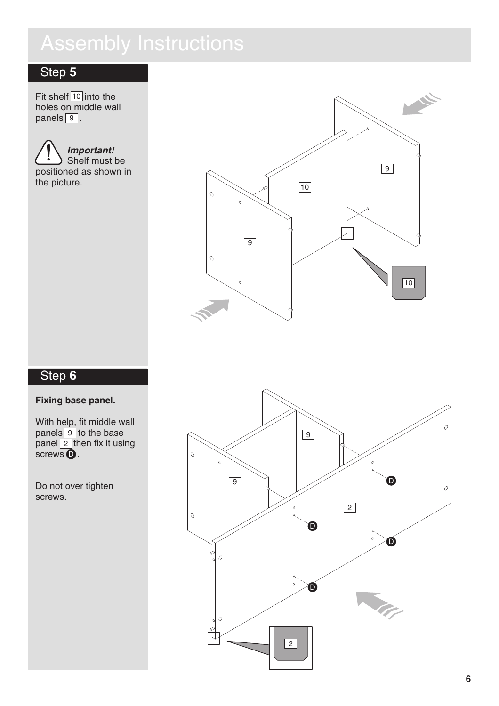## Step **5**

Fit shelf  $10$  into the holes on middle wall  $p$ anels  $|9|$ .

![](_page_6_Picture_3.jpeg)

![](_page_6_Picture_4.jpeg)

### Step **6**

#### **Fixing base panel.**

With help, fit middle wall panels 9 to the base panel $\lfloor$  2  $\rfloor$ then fix it using screws  $\mathbf{D}$ . 9

Do not over tighten screws.

![](_page_6_Figure_9.jpeg)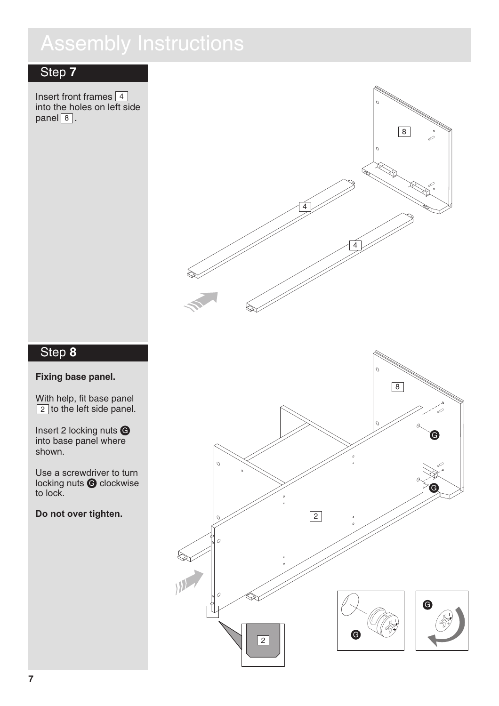### Step **7**

Insert front frames 4 into the holes on left side  $panel 8$ .

![](_page_7_Picture_3.jpeg)

### Step **8**

#### **Fixing base panel.**

With help, fit base panel  $2$  to the left side panel.

Insert 2 locking nuts G into base panel where shown.

Use a screwdriver to turn locking nuts **G** clockwise to lock.

**Do not over tighten.**

![](_page_7_Figure_10.jpeg)

**7**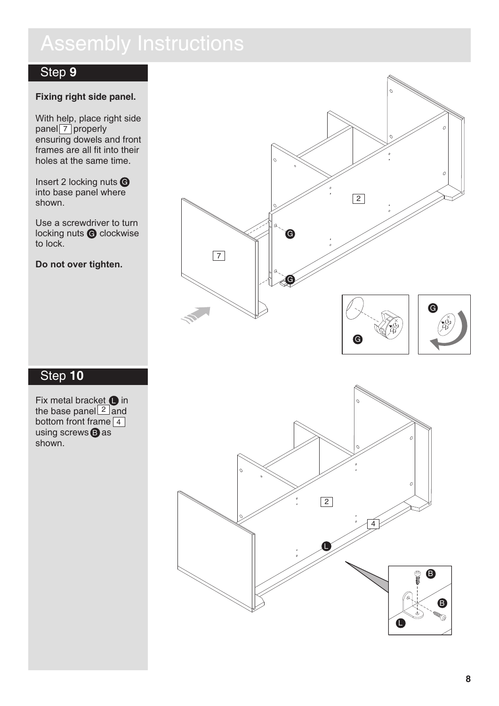### Step **9**

#### **Fixing right side panel.**

With help, place right side panel 7 properly ensuring dowels and front frames are all fit into their holes at the same time.

Insert 2 locking nuts G into base panel where shown.

Use a screwdriver to turn locking nuts **G** clockwise to lock.

**Do not over tighten.**

![](_page_8_Figure_7.jpeg)

### Step **10**

Fix metal bracket  $\bigcirc$  in the base panel  $\boxed{2}$  and bottom front frame 4 using screws  $\mathbf \Theta$  as shown.

![](_page_8_Figure_10.jpeg)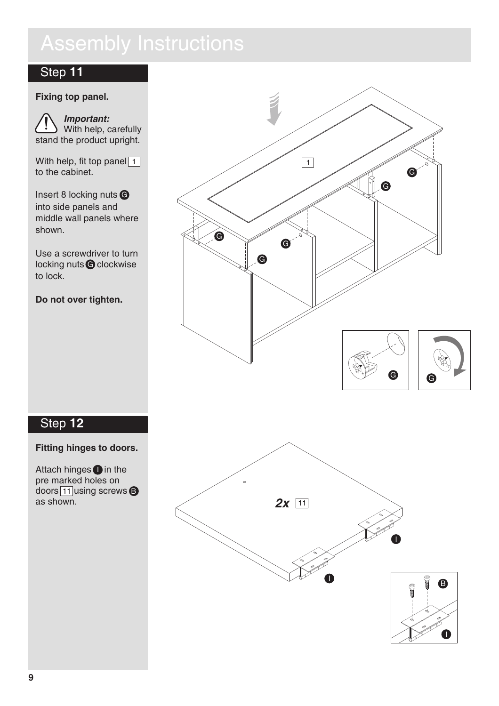### Step **11**

#### **Fixing top panel.**

*Important:* With help, carefully stand the product upright.

With help, fit top panel 1 to the cabinet.

Insert 8 locking nuts  $\epsilon$ into side panels and middle wall panels where shown.

Use a screwdriver to turn locking nuts **G** clockwise to lock.

**Do not over tighten.**

![](_page_9_Figure_8.jpeg)

### Step **12**

#### **Fitting hinges to doors.**

Attach hinges  $\bigcirc$  in the pre marked holes on doors 11 using screws B as shown.

![](_page_9_Figure_12.jpeg)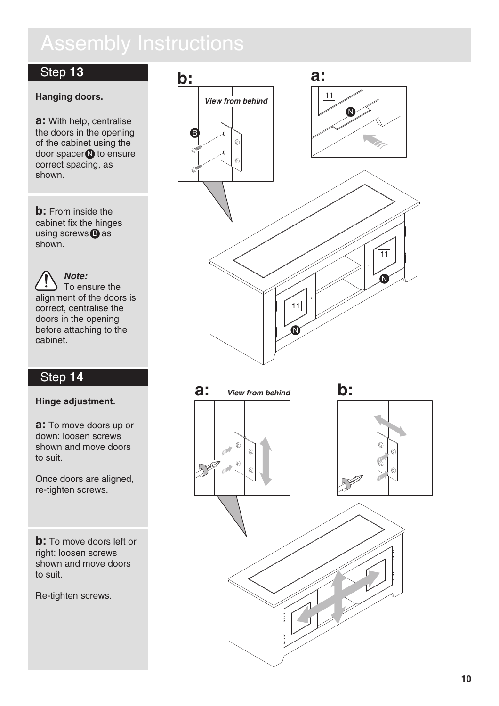### Step **13**

#### **Hanging doors.**

**a:** With help, centralise the doors in the opening of the cabinet using the door spacer $\blacksquare$  to ensure correct spacing, as shown.

**b:** From inside the cabinet fix the hinges using screws  $\bigoplus$  as shown.

*Note:* To ensure the alignment of the doors is correct, centralise the doors in the opening before attaching to the cabinet.

### Step **14**

#### **Hinge adjustment.**

**a:** To move doors up or down: loosen screws shown and move doors to suit.

Once doors are aligned, re-tighten screws.

**b:** To move doors left or right: loosen screws shown and move doors to suit.

Re-tighten screws.

![](_page_10_Figure_12.jpeg)

![](_page_10_Figure_13.jpeg)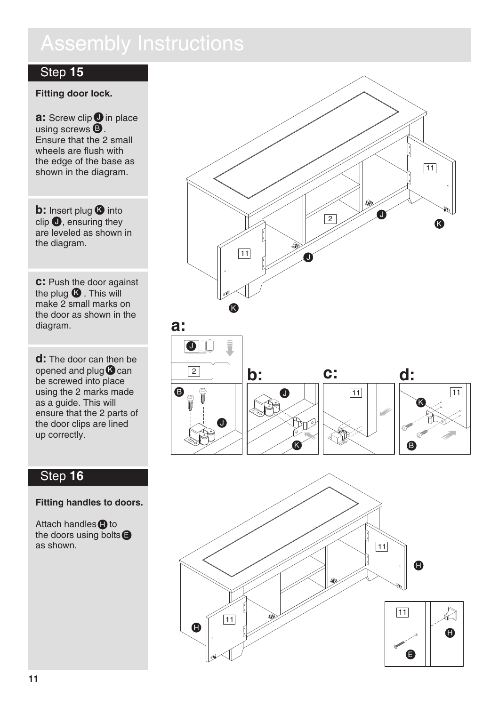### Step **15**

#### **Fitting door lock.**

B **a:** Screw clip **O** in place using screws  $\bm{\Theta}$ . Ensure that the 2 small wheels are flush with the edge of the base as shown in the diagram. J

**b:** Insert plug **B** into clip  $\bigcirc$ , ensuring they are leveled as shown in the diagram.

**c:** Push the door against the plug  $\, \, \bullet \,$  . This will make 2 small marks on the door as shown in the diagram. K

**d:** The door can then be opened and plug  $\bigcirc$  can be screwed into place using the 2 marks made as a guide. This will ensure that the 2 parts of the door clips are lined up correctly.

#### Step **16**

#### **Fitting handles to doors.**

Attach handles **D** to the doors using bolts E as shown.

![](_page_11_Figure_10.jpeg)

![](_page_11_Figure_11.jpeg)

![](_page_11_Picture_12.jpeg)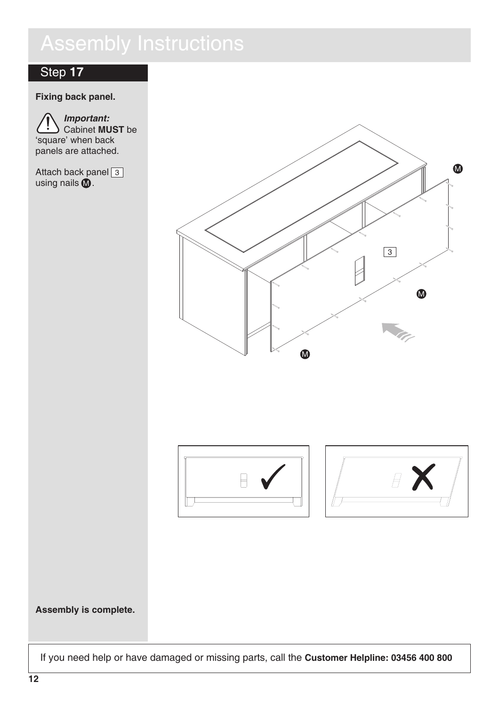### Step **17**

#### **Fixing back panel.**

*Important:* **Cabinet MUST** be 'square' when back panels are attached.

Attach back panel 3 using nails  $\mathbf{\mathbf{\mathsf{\Omega}}}$ .

| $\bigcirc$ | $\bigcirc$<br>$\overline{3}$<br>$\boldsymbol{\mathsf{\Omega}}$ |
|------------|----------------------------------------------------------------|
|            | $\Box$                                                         |
|            |                                                                |

**Assembly is complete.**

If you need help or have damaged or missing parts, call the **Customer Helpline: 03456 400 800**